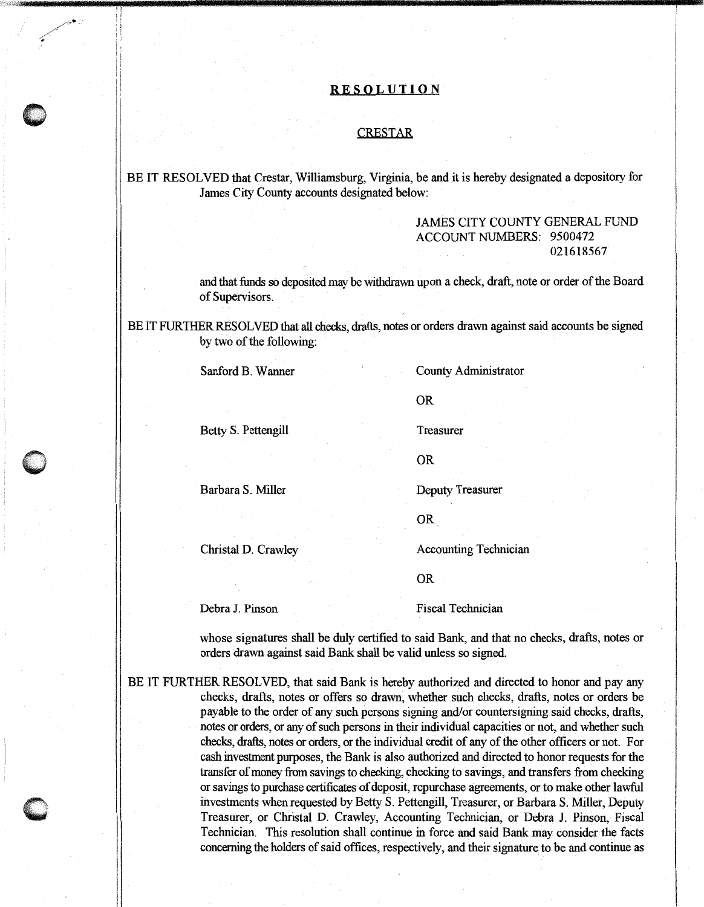## **RE SOL UT ION**

## **CRESTAR**

BE IT RESOLVED that Crestar, Williamsburg, Virginia, be and it is hereby designated a depository for James City County accounts designated below:

## JAMES CITY COUNTY GENERAL FUND ACCOUNT NUMBERS: 9500472 021618567

and that funds so deposited may be withdrawn upon a check, draft, note or order of the Board of Supervisors.

BE IT FURTHER RESOLVED that all checks, drafts, notes or orders drawn against said accounts be signed by two of the following:

Sanford B. Wanner County Administrator

OR

Betty S. Pettengill Treasurer

OR

Barbara S. Miller Deputy Treasurer

OR

Christal D. Crawley Accounting Technician

OR

Debra J. Pinson Fiscal Technician

whose signatures shall be duly certified to said Bank, and that no checks, drafts, notes or orders drawn against said Bank shall be valid unless so signed.

BE IT FURTHER RESOLVED, that said Bank is hereby authorized and directed to honor and pay any checks, drafts, notes or offers so drawn, whether such checks, drafts, notes or orders be payable to the order of any such persons signing and/or countersigning said checks, drafts, notes or orders, or any of such persons in their individual capacities or not, and whether such checks, drafts, notes or orders, or the individual credit of any of the other officers or not. For cash investment purposes, the Bank is also authorized and directed to honor requests for the transfer of money from savings to checking, checking to savings, and transfers from checking or savings to purchase certificates of deposit, repurchase agreements, or to make other lawful investments when requested by Betty S. Pettengill, Treasurer, or Barbara S. Miller, Deputy Treasurer, or Christal D. Crawley, Accounting Technician, or Debra J. Pinson, Fiscal Technician. This resolution shall continue in force and said Bank may consider the facts concerning the holders of said offices, respectively, and their signature to be and continue as